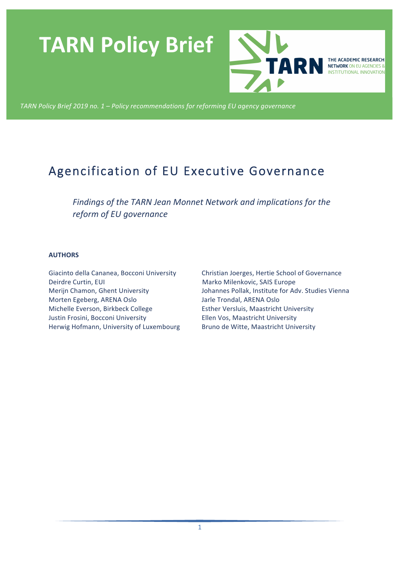# **TARN Policy Brief**



THE ACADEMIC RESEARCH **NETWORK ON EU AGENCIES & INSTITUTIONAL INNOVATION** 

TARN Policy Brief 2019 no. 1 - Policy recommendations for reforming EU agency governance

# Agencification of EU Executive Governance

Findings of the TARN Jean Monnet Network and implications for the *reform of EU governance*

#### **AUTHORS**

Giacinto della Cananea, Bocconi University Deirdre Curtin, EUI Merijn Chamon, Ghent University Morten Egeberg, ARENA Oslo Michelle Everson, Birkbeck College Justin Frosini, Bocconi University Herwig Hofmann, University of Luxembourg

Christian Joerges, Hertie School of Governance Marko Milenkovic, SAIS Europe Johannes Pollak, Institute for Adv. Studies Vienna Jarle Trondal, ARENA Oslo Esther Versluis, Maastricht University Ellen Vos, Maastricht University Bruno de Witte, Maastricht University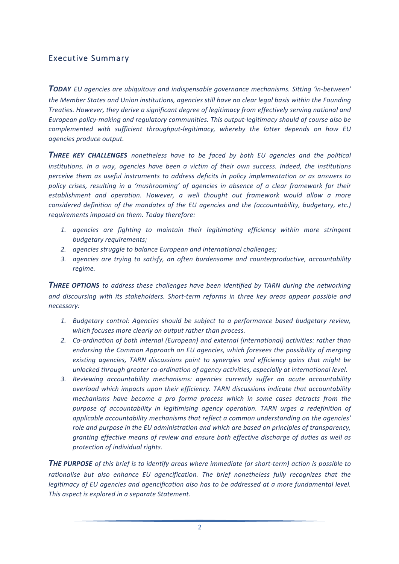# Executive Summary

**TODAY** EU agencies are ubiquitous and indispensable governance mechanisms. Sitting 'in-between' the Member States and Union institutions, agencies still have no clear legal basis within the Founding *Treaties. However, they derive a significant degree of legitimacy from effectively serving national and* European policy-making and regulatory communities. This output-legitimacy should of course also be *complemented with sufficient throughput-legitimacy, whereby the latter depends on how EU agencies produce output.* 

**THREE KEY CHALLENGES** nonetheless have to be faced by both EU agencies and the political *institutions. In a way, agencies have been a victim of their own success. Indeed, the institutions perceive them as useful instruments to address deficits in policy implementation or as answers to policy* crises, resulting in a 'mushrooming' of agencies in absence of a clear framework for their establishment and operation. However, a well thought out framework would allow a more *considered definition of the mandates of the EU agencies and the (accountability, budgetary, etc.)* requirements imposed on them. Today therefore:

- 1. agencies are fighting to maintain their legitimating efficiency within more stringent *budgetary requirements;*
- 2. agencies struggle to balance European and international challenges;
- *3. agencies are trying to satisfy, an often burdensome and counterproductive, accountability regime.*

**THREE OPTIONS** to address these challenges have been identified by TARN during the networking and discoursing with its stakeholders. Short-term reforms in three key areas appear possible and *necessary:*

- 1. Budgetary control: Agencies should be subject to a performance based budgetary review, which focuses more clearly on output rather than process.
- 2. *Co-ordination of both internal (European)* and external *(international)* activities: rather than endorsing the Common Approach on EU agencies, which foresees the possibility of merging existing agencies, TARN discussions point to synergies and efficiency gains that might be unlocked through greater co-ordination of agency activities, especially at international level.
- *3. Reviewing accountability mechanisms: agencies currently suffer an acute accountability overload which impacts upon their efficiency. TARN discussions indicate that accountability mechanisms have become a pro forma process which in some cases detracts from the* purpose of accountability in legitimising agency operation. TARN urges a redefinition of applicable accountability mechanisms that reflect a common understanding on the agencies' *role and purpose in the EU administration and which are based on principles of transparency, granting* effective means of review and ensure both effective discharge of duties as well as *protection of individual rights.*

**THE PURPOSE** of this brief is to identify areas where immediate (or short-term) action is possible to rationalise but also enhance EU agencification. The brief nonetheless fully recognizes that the *legitimacy* of EU agencies and agencification also has to be addressed at a more fundamental level. This aspect is explored in a separate Statement.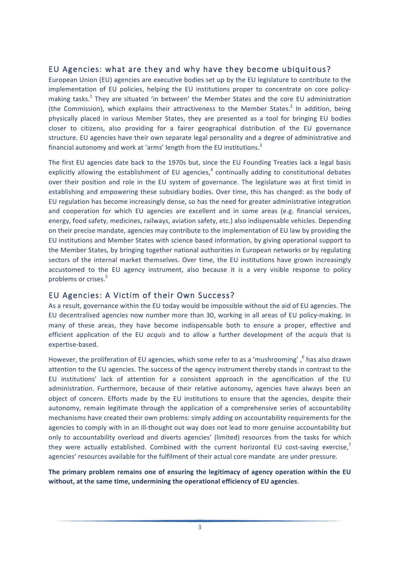# EU Agencies: what are they and why have they become ubiquitous?

European Union (EU) agencies are executive bodies set up by the EU legislature to contribute to the implementation of EU policies, helping the EU institutions proper to concentrate on core policymaking tasks.<sup>1</sup> They are situated 'in between' the Member States and the core EU administration (the Commission), which explains their attractiveness to the Member States.<sup>2</sup> In addition, being physically placed in various Member States, they are presented as a tool for bringing EU bodies closer to citizens, also providing for a fairer geographical distribution of the EU governance structure. EU agencies have their own separate legal personality and a degree of administrative and financial autonomy and work at 'arms' length from the EU institutions.<sup>3</sup>

The first EU agencies date back to the 1970s but, since the EU Founding Treaties lack a legal basis explicitly allowing the establishment of EU agencies, $4$  continually adding to constitutional debates over their position and role in the EU system of governance. The legislature was at first timid in establishing and empowering these subsidiary bodies. Over time, this has changed: as the body of EU regulation has become increasingly dense, so has the need for greater administrative integration and cooperation for which EU agencies are excellent and in some areas (e.g. financial services, energy, food safety, medicines, railways, aviation safety, etc.) also indispensable vehicles. Depending on their precise mandate, agencies may contribute to the implementation of EU law by providing the EU institutions and Member States with science based information, by giving operational support to the Member States, by bringing together national authorities in European networks or by regulating sectors of the internal market themselves. Over time, the EU institutions have grown increasingly accustomed to the EU agency instrument, also because it is a very visible response to policy problems or crises.<sup>5</sup>

# EU Agencies: A Victim of their Own Success?

As a result, governance within the EU today would be impossible without the aid of EU agencies. The EU decentralised agencies now number more than 30, working in all areas of EU policy-making. In many of these areas, they have become indispensable both to ensure a proper, effective and efficient application of the EU *acquis* and to allow a further development of the *acquis* that is expertise-based.

However, the proliferation of EU agencies, which some refer to as a 'mushrooming',  $6$  has also drawn attention to the EU agencies. The success of the agency instrument thereby stands in contrast to the EU institutions' lack of attention for a consistent approach in the agencification of the EU administration. Furthermore, because of their relative autonomy, agencies have always been an object of concern. Efforts made by the EU institutions to ensure that the agencies, despite their autonomy, remain legitimate through the application of a comprehensive series of accountability mechanisms have created their own problems: simply adding on accountability requirements for the agencies to comply with in an ill-thought out way does not lead to more genuine accountability but only to accountability overload and diverts agencies' (limited) resources from the tasks for which they were actually established. Combined with the current horizontal EU cost-saving exercise, $\overline{7}$ agencies' resources available for the fulfilment of their actual core mandate are under pressure.

The primary problem remains one of ensuring the legitimacy of agency operation within the EU without, at the same time, undermining the operational efficiency of EU agencies.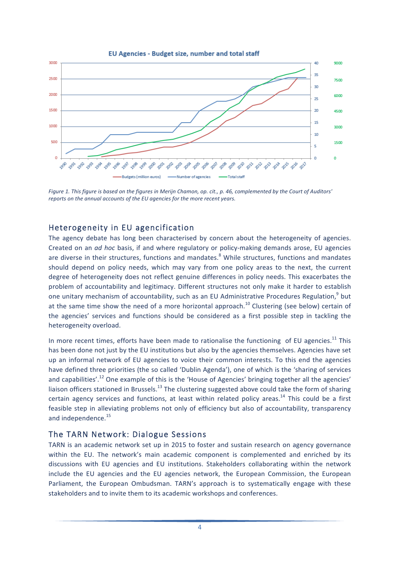



Figure 1. This figure is based on the figures in Merijn Chamon, op. cit., p. 46, complemented by the Court of Auditors' *reports* on the annual accounts of the EU agencies for the more recent years.

# Heterogeneity in EU agencification

The agency debate has long been characterised by concern about the heterogeneity of agencies. Created on an *ad hoc* basis, if and where regulatory or policy-making demands arose, EU agencies are diverse in their structures, functions and mandates.<sup>8</sup> While structures, functions and mandates should depend on policy needs, which may vary from one policy areas to the next, the current degree of heterogeneity does not reflect genuine differences in policy needs. This exacerbates the problem of accountability and legitimacy. Different structures not only make it harder to establish one unitary mechanism of accountability, such as an EU Administrative Procedures Regulation,<sup>9</sup> but at the same time show the need of a more horizontal approach.<sup>10</sup> Clustering (see below) certain of the agencies' services and functions should be considered as a first possible step in tackling the heterogeneity overload.

In more recent times, efforts have been made to rationalise the functioning of EU agencies.<sup>11</sup> This has been done not just by the EU institutions but also by the agencies themselves. Agencies have set up an informal network of EU agencies to voice their common interests. To this end the agencies have defined three priorities (the so called 'Dublin Agenda'), one of which is the 'sharing of services and capabilities'.<sup>12</sup> One example of this is the 'House of Agencies' bringing together all the agencies' liaison officers stationed in Brussels.<sup>13</sup> The clustering suggested above could take the form of sharing certain agency services and functions, at least within related policy areas.<sup>14</sup> This could be a first feasible step in alleviating problems not only of efficiency but also of accountability, transparency and independence.<sup>15</sup>

# The TARN Network: Dialogue Sessions

TARN is an academic network set up in 2015 to foster and sustain research on agency governance within the EU. The network's main academic component is complemented and enriched by its discussions with EU agencies and EU institutions. Stakeholders collaborating within the network include the EU agencies and the EU agencies network, the European Commission, the European Parliament, the European Ombudsman. TARN's approach is to systematically engage with these stakeholders and to invite them to its academic workshops and conferences.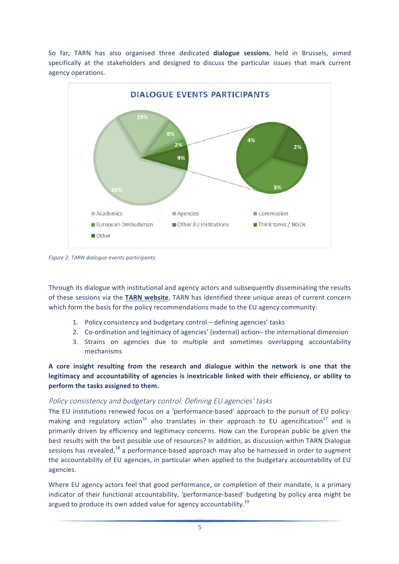So far, TARN has also organised three dedicated **dialogue sessions**, held in Brussels, aimed specifically at the stakeholders and designed to discuss the particular issues that mark current agency operations. 



*Figure 2. TARN dialogue events participants*

Through its dialogue with institutional and agency actors and subsequently disseminating the results of these sessions via the TARN website, TARN has identified three unique areas of current concern which form the basis for the policy recommendations made to the EU agency community:

- 1. Policy consistency and budgetary control defining agencies' tasks
- 2. Co-ordination and legitimacy of agencies' (external) action– the international dimension
- 3. Strains on agencies due to multiple and sometimes overlapping accountability mechanisms

# A core insight resulting from the research and dialogue within the network is one that the legitimacy and accountability of agencies is inextricable linked with their efficiency, or ability to **perform the tasks assigned to them.**

### Policy consistency and budgetary control: Defining EU agencies' tasks

The EU institutions renewed focus on a 'performance-based' approach to the pursuit of EU policymaking and regulatory action<sup>16</sup> also translates in their approach to EU agencification<sup>17</sup> and is primarily driven by efficiency and legitimacy concerns. How can the European public be given the best results with the best possible use of resources? In addition, as discussion within TARN Dialogue sessions has revealed,<sup>18</sup> a performance-based approach may also be harnessed in order to augment the accountability of EU agencies, in particular when applied to the budgetary accountability of EU agencies.

Where EU agency actors feel that good performance, or completion of their mandate, is a primary indicator of their functional accountability, 'performance-based' budgeting by policy area might be argued to produce its own added value for agency accountability.<sup>19</sup>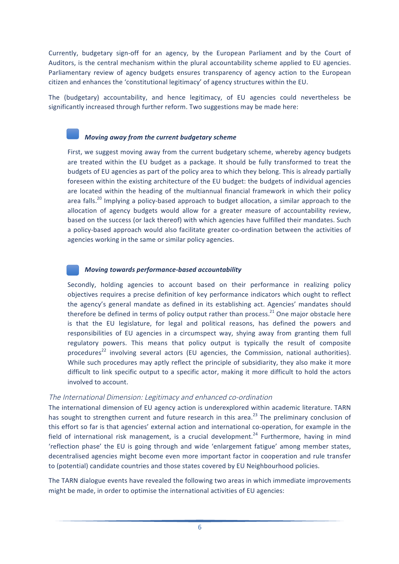Currently, budgetary sign-off for an agency, by the European Parliament and by the Court of Auditors, is the central mechanism within the plural accountability scheme applied to EU agencies. Parliamentary review of agency budgets ensures transparency of agency action to the European citizen and enhances the 'constitutional legitimacy' of agency structures within the EU.

The (budgetary) accountability, and hence legitimacy, of EU agencies could nevertheless be significantly increased through further reform. Two suggestions may be made here:

#### *Moving away from the current budgetary scheme*

First, we suggest moving away from the current budgetary scheme, whereby agency budgets are treated within the EU budget as a package. It should be fully transformed to treat the budgets of EU agencies as part of the policy area to which they belong. This is already partially foreseen within the existing architecture of the EU budget: the budgets of individual agencies are located within the heading of the multiannual financial framework in which their policy area falls.<sup>20</sup> Implying a policy-based approach to budget allocation, a similar approach to the allocation of agency budgets would allow for a greater measure of accountability review, based on the success (or lack thereof) with which agencies have fulfilled their mandates. Such a policy-based approach would also facilitate greater co-ordination between the activities of agencies working in the same or similar policy agencies.

#### *Moving towards performance-based accountability*

Secondly, holding agencies to account based on their performance in realizing policy objectives requires a precise definition of key performance indicators which ought to reflect the agency's general mandate as defined in its establishing act. Agencies' mandates should therefore be defined in terms of policy output rather than process.<sup>21</sup> One major obstacle here is that the EU legislature, for legal and political reasons, has defined the powers and responsibilities of EU agencies in a circumspect way, shying away from granting them full regulatory powers. This means that policy output is typically the result of composite procedures<sup>22</sup> involving several actors (EU agencies, the Commission, national authorities). While such procedures may aptly reflect the principle of subsidiarity, they also make it more difficult to link specific output to a specific actor, making it more difficult to hold the actors involved to account.

#### The International Dimension: Legitimacy and enhanced co-ordination

The international dimension of EU agency action is underexplored within academic literature. TARN has sought to strengthen current and future research in this area.<sup>23</sup> The preliminary conclusion of this effort so far is that agencies' external action and international co-operation, for example in the field of international risk management, is a crucial development.<sup>24</sup> Furthermore, having in mind 'reflection phase' the EU is going through and wide 'enlargement fatigue' among member states, decentralised agencies might become even more important factor in cooperation and rule transfer to (potential) candidate countries and those states covered by EU Neighbourhood policies.

The TARN dialogue events have revealed the following two areas in which immediate improvements might be made, in order to optimise the international activities of EU agencies: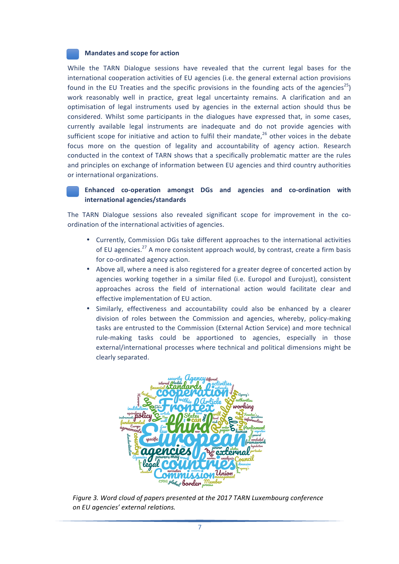#### **Mandates and scope for action**

While the TARN Dialogue sessions have revealed that the current legal bases for the international cooperation activities of EU agencies (i.e. the general external action provisions found in the EU Treaties and the specific provisions in the founding acts of the agencies<sup>25</sup>) work reasonably well in practice, great legal uncertainty remains. A clarification and an optimisation of legal instruments used by agencies in the external action should thus be considered. Whilst some participants in the dialogues have expressed that, in some cases, currently available legal instruments are inadequate and do not provide agencies with sufficient scope for initiative and action to fulfil their mandate, $^{26}$  other voices in the debate focus more on the question of legality and accountability of agency action. Research conducted in the context of TARN shows that a specifically problematic matter are the rules and principles on exchange of information between EU agencies and third country authorities or international organizations.

#### **Enhanced co-operation amongst DGs and agencies and co-ordination with international agencies/standards**

The TARN Dialogue sessions also revealed significant scope for improvement in the coordination of the international activities of agencies.

- Currently, Commission DGs take different approaches to the international activities of EU agencies.<sup>27</sup> A more consistent approach would, by contrast, create a firm basis for co-ordinated agency action.
- Above all, where a need is also registered for a greater degree of concerted action by agencies working together in a similar filed (i.e. Europol and Eurojust), consistent approaches across the field of international action would facilitate clear and effective implementation of EU action.
- Similarly, effectiveness and accountability could also be enhanced by a clearer division of roles between the Commission and agencies, whereby, policy-making tasks are entrusted to the Commission (External Action Service) and more technical rule-making tasks could be apportioned to agencies, especially in those external/international processes where technical and political dimensions might be clearly separated.



Figure 3. Word cloud of papers presented at the 2017 TARN Luxembourg conference *on EU agencies' external relations.*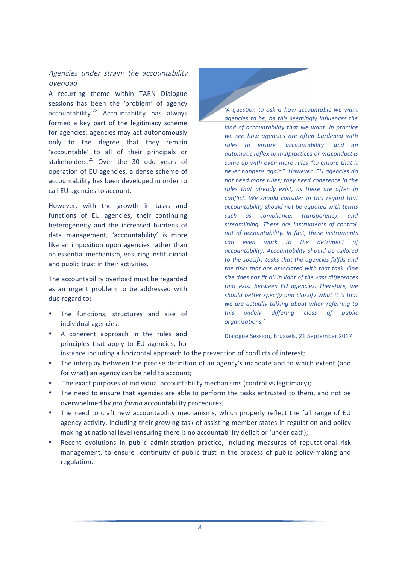# Agencies under strain: the accountability overload

A recurring theme within TARN Dialogue sessions has been the 'problem' of agency  $accountability.<sup>28</sup>$  Accountability has always formed a key part of the legitimacy scheme for agencies: agencies may act autonomously only to the degree that they remain 'accountable' to all of their principals or stakeholders. $^{29}$  Over the 30 odd years of operation of EU agencies, a dense scheme of accountability has been developed in order to call EU agencies to account.

However, with the growth in tasks and functions of EU agencies, their continuing heterogeneity and the increased burdens of data management, 'accountability' is more like an imposition upon agencies rather than an essential mechanism, ensuring institutional and public trust in their activities.

The accountability overload must be regarded as an urgent problem to be addressed with due regard to:

- The functions, structures and size of individual agencies;
- principles that apply to EU agencies, for

*'A question to ask is how accountable we want agencies to be, as this seemingly influences the kind* of accountability that we want. In practice we see how agencies are often burdened with *rules to ensure "accountability" and an*  automatic reflex to malpractices or misconduct is *come up* with even more rules "to ensure that it never happens again". However, EU agencies do not need more rules; they need coherence in the rules that already exist, as these are often in *conflict.* We should consider in this regard that *accountability should not be equated with terms such as compliance, transparency, and*  streamlining. These are instruments of control, *not of accountability. In fact, these instruments can even work to the detriment of accountability. Accountability should be tailored*  to the specific tasks that the agencies fulfils and the risks that are associated with that task. One size does not fit all in light of the vast differences that exist between EU agencies. Therefore, we should better specify and classify what it is that we are actually talking about when referring to *this widely differing class of public organizations.'*

Dialogue Session, Brussels, 21 September 2017

- A coherent approach in the rules and
	- instance including a horizontal approach to the prevention of conflicts of interest;
- The interplay between the precise definition of an agency's mandate and to which extent (and for what) an agency can be held to account;
- The exact purposes of individual accountability mechanisms (control vs legitimacy);
- The need to ensure that agencies are able to perform the tasks entrusted to them, and not be overwhelmed by pro forma accountability procedures;
- The need to craft new accountability mechanisms, which properly reflect the full range of EU agency activity, including their growing task of assisting member states in regulation and policy making at national level (ensuring there is no accountability deficit or 'underload');
- Recent evolutions in public administration practice, including measures of reputational risk management, to ensure continuity of public trust in the process of public policy-making and regulation.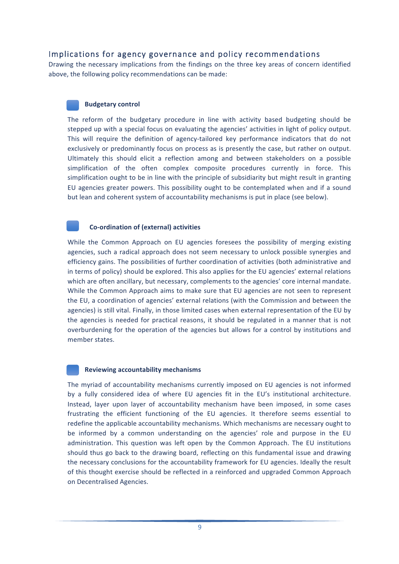# Implications for agency governance and policy recommendations

Drawing the necessary implications from the findings on the three key areas of concern identified above, the following policy recommendations can be made:

#### **Budgetary control**

The reform of the budgetary procedure in line with activity based budgeting should be stepped up with a special focus on evaluating the agencies' activities in light of policy output. This will require the definition of agency-tailored key performance indicators that do not exclusively or predominantly focus on process as is presently the case, but rather on output. Ultimately this should elicit a reflection among and between stakeholders on a possible simplification of the often complex composite procedures currently in force. This simplification ought to be in line with the principle of subsidiarity but might result in granting EU agencies greater powers. This possibility ought to be contemplated when and if a sound but lean and coherent system of accountability mechanisms is put in place (see below).

#### **Co-ordination of (external) activities**

While the Common Approach on EU agencies foresees the possibility of merging existing agencies, such a radical approach does not seem necessary to unlock possible synergies and efficiency gains. The possibilities of further coordination of activities (both administrative and in terms of policy) should be explored. This also applies for the EU agencies' external relations which are often ancillary, but necessary, complements to the agencies' core internal mandate. While the Common Approach aims to make sure that EU agencies are not seen to represent the EU, a coordination of agencies' external relations (with the Commission and between the agencies) is still vital. Finally, in those limited cases when external representation of the EU by the agencies is needed for practical reasons, it should be regulated in a manner that is not overburdening for the operation of the agencies but allows for a control by institutions and member states.

#### **Reviewing accountability mechanisms**

The myriad of accountability mechanisms currently imposed on EU agencies is not informed by a fully considered idea of where EU agencies fit in the EU's institutional architecture. Instead, layer upon layer of accountability mechanism have been imposed, in some cases frustrating the efficient functioning of the EU agencies. It therefore seems essential to redefine the applicable accountability mechanisms. Which mechanisms are necessary ought to be informed by a common understanding on the agencies' role and purpose in the EU administration. This question was left open by the Common Approach. The EU institutions should thus go back to the drawing board, reflecting on this fundamental issue and drawing the necessary conclusions for the accountability framework for EU agencies. Ideally the result of this thought exercise should be reflected in a reinforced and upgraded Common Approach on Decentralised Agencies.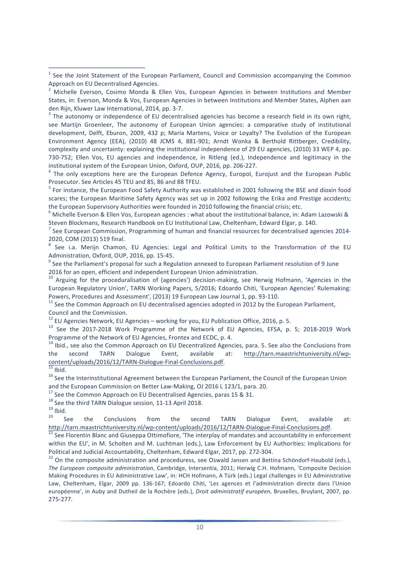see Martijn Groenleer, The autonomy of European Union agencies: a comparative study of institutional development, Delft, Eburon, 2009, 432 p; Maria Martens, Voice or Loyalty? The Evolution of the European Environment Agency (EEA), (2010) 48 JCMS 4, 881-901; Arndt Wonka & Berthold Rittberger, Credibility, complexity and uncertainty: explaining the institutional independence of 29 EU agencies, (2010) 33 WEP 4, pp. 730-752; Ellen Vos, EU agencies and independence, in Ritleng (ed.), Independence and legitimacy in the institutional system of the European Union, Oxford, OUP, 2016, pp. 206-227.<br>
<sup>4</sup> The only exceptions here are the European Defence Agency, Europol, Eurojust and the European Public

Prosecutor. See Articles 45 TEU and 85, 86 and 88 TFEU.

 $<sup>5</sup>$  For instance, the European Food Safety Authority was established in 2001 following the BSE and dioxin food</sup> scares; the European Maritime Safety Agency was set up in 2002 following the Erika and Prestige accidents; the European Supervisory Authorities were founded in 2010 following the financial crisis; etc.

 $6$  Michelle Everson & Ellen Vos, European agencies : what about the institutional balance, in: Adam Lazowski & Steven Blockmans, Research Handbook on EU Institutional Law, Cheltenham, Edward Elgar, p. 140.

 $<sup>7</sup>$  See European Commission, Programming of human and financial resources for decentralised agencies 2014-</sup> 2020, COM (2013) 519 final.

See i.a. Merijn Chamon, EU Agencies: Legal and Political Limits to the Transformation of the EU Administration, Oxford, OUP, 2016, pp. 15-45.<br><sup>9</sup> See the Parliament's proposal for such a Regulation annexed to European Parliament resolution of 9 June

2016 for an open, efficient and independent European Union administration.<br><sup>10</sup> Arguing for the proceduralisation of (agencies') decision-making, see Herwig Hofmann, 'Agencies in the

European Regulatory Union', TARN Working Papers, 5/2016; Edoardo Chiti, 'European Agencies' Rulemaking: Powers, Procedures and Assessment', (2013) 19 European Law Journal 1, pp. 93-110.<br><sup>11</sup> See the Common Approach on EU decentralised agencies adopted in 2012 by the European Parliament,

Council and the Commission.<br><sup>12</sup> EU Agencies Network. EU Agencies – working for you. EU Publication Office. 2016. p. 5.

 $13$  See the 2017-2018 Work Programme of the Network of EU Agencies, EFSA, p. 5; 2018-2019 Work Programme of the Network of EU Agencies, Frontex and ECDC, p. 4.

<sup>14</sup> Ibid., see also the Common Approach on EU Decentralized Agencies, para. 5. See also the Conclusions from the second TARN Dialogue Event, available at: http://tarn.maastrichtuniversity.nl/wpcontent/uploads/2016/12/TARN-Dialogue-Final-Conclusions.pdf.<br> $\frac{15}{15}$  Ibid.<br><sup>16</sup> See the Interinstitutional Agreement between the European Parliament, the Council of the European Union

<u> 1989 - Jan Samuel Barbara, margaret e</u>

and the European Commission on Better Law-Making, OJ 2016 L 123/1, para. 20.<br>
<sup>17</sup> See the Common Approach on EU Decentralised Agencies, paras 15 & 31.<br>
<sup>18</sup> See the third TARN Dialogue session, 11-13 April 2018.<br>
<sup>19</sup> Ib

<sup>21</sup> See Florentin Blanc and Giuseppa Ottimofiore, 'The interplay of mandates and accountability in enforcement within the EU', in M. Scholten and M. Luchtman (eds.), Law Enforcement by EU Authorities: Implications for Political and Judicial Accountability, Cheltenham, Edward Elgar, 2017, pp. 272-304.<br><sup>22</sup> On the composite administration and proceduress, see Oswald Jansen and Bettina Schöndorf-Haubold (eds.).

*The European composite administration*, Cambridge, Intersentia, 2011; Herwig C.H. Hofmann, 'Composite Decision Making Procedures in EU Administrative Law', in: HCH Hofmann, A Türk (eds.) Legal challenges in EU Administrative Law, Cheltenham, Elgar, 2009 pp. 136-167; Edoardo Chiti, 'Les agences et l'administration directe dans l'Union européenne', in Auby and Dutheil de la Rochère (eds.), *Droit administratif européen*, Bruxelles, Bruylant, 2007, pp. 275-277.

See the Joint Statement of the European Parliament, Council and Commission accompanying the Common Approach on EU Decentralised Agencies.

 $2$  Michelle Everson, Cosimo Monda & Ellen Vos, European Agencies in between Institutions and Member States, in: Everson, Monda & Vos, European Agencies in between Institutions and Member States, Alphen aan den Rijn, Kluwer Law International, 2014, pp. 3-7.<br><sup>3</sup> The autonomy or independence of EU decentralised agencies has become a research field in its own right.